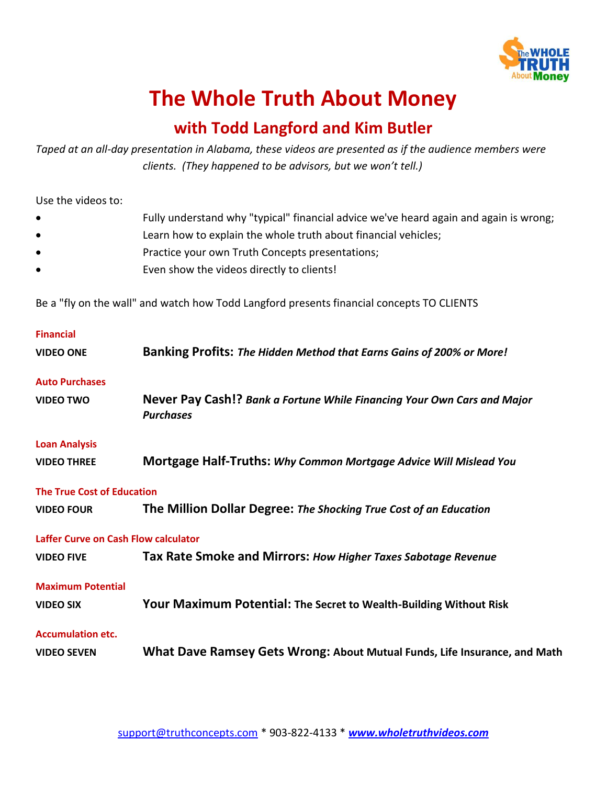

## **The Whole Truth About Money**

## **with Todd Langford and Kim Butler**

*Taped at an all-day presentation in Alabama, these videos are presented as if the audience members were clients. (They happened to be advisors, but we won't tell.)*

Use the videos to:

- Fully understand why "typical" financial advice we've heard again and again is wrong;
- Learn how to explain the whole truth about financial vehicles;
- Practice your own Truth Concepts presentations;
- Even show the videos directly to clients!

Be a "fly on the wall" and watch how Todd Langford presents financial concepts TO CLIENTS

| <b>Financial</b>                            |                                                                                             |
|---------------------------------------------|---------------------------------------------------------------------------------------------|
| <b>VIDEO ONE</b>                            | Banking Profits: The Hidden Method that Earns Gains of 200% or More!                        |
| <b>Auto Purchases</b>                       |                                                                                             |
| <b>VIDEO TWO</b>                            | Never Pay Cash!? Bank a Fortune While Financing Your Own Cars and Major<br><b>Purchases</b> |
| <b>Loan Analysis</b>                        |                                                                                             |
| <b>VIDEO THREE</b>                          | Mortgage Half-Truths: Why Common Mortgage Advice Will Mislead You                           |
| <b>The True Cost of Education</b>           |                                                                                             |
| <b>VIDEO FOUR</b>                           | The Million Dollar Degree: The Shocking True Cost of an Education                           |
| <b>Laffer Curve on Cash Flow calculator</b> |                                                                                             |
| <b>VIDEO FIVE</b>                           | Tax Rate Smoke and Mirrors: How Higher Taxes Sabotage Revenue                               |
| <b>Maximum Potential</b>                    |                                                                                             |
| <b>VIDEO SIX</b>                            | Your Maximum Potential: The Secret to Wealth-Building Without Risk                          |
| <b>Accumulation etc.</b>                    |                                                                                             |
| <b>VIDEO SEVEN</b>                          | What Dave Ramsey Gets Wrong: About Mutual Funds, Life Insurance, and Math                   |